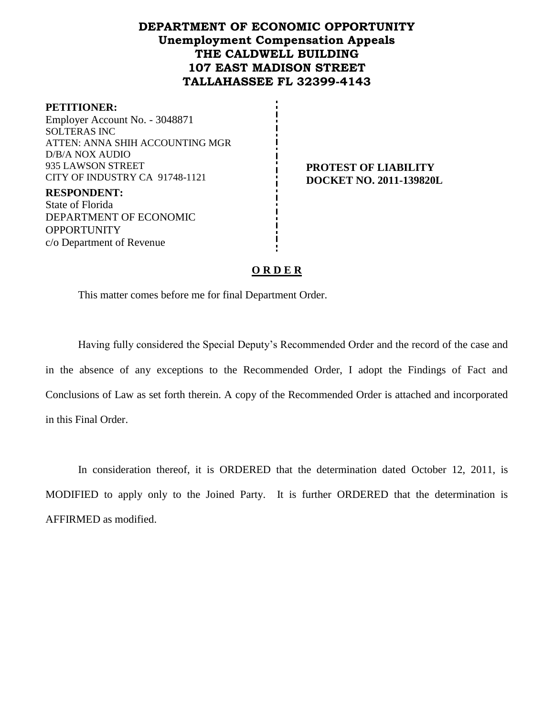# **DEPARTMENT OF ECONOMIC OPPORTUNITY Unemployment Compensation Appeals THE CALDWELL BUILDING 107 EAST MADISON STREET TALLAHASSEE FL 32399-4143**

#### **PETITIONER:**

Employer Account No. - 3048871 SOLTERAS INC ATTEN: ANNA SHIH ACCOUNTING MGR D/B/A NOX AUDIO 935 LAWSON STREET CITY OF INDUSTRY CA 91748-1121

**RESPONDENT:** State of Florida DEPARTMENT OF ECONOMIC **OPPORTUNITY** c/o Department of Revenue

**PROTEST OF LIABILITY DOCKET NO. 2011-139820L**

#### **O R D E R**

This matter comes before me for final Department Order.

Having fully considered the Special Deputy's Recommended Order and the record of the case and in the absence of any exceptions to the Recommended Order, I adopt the Findings of Fact and Conclusions of Law as set forth therein. A copy of the Recommended Order is attached and incorporated in this Final Order.

In consideration thereof, it is ORDERED that the determination dated October 12, 2011, is MODIFIED to apply only to the Joined Party. It is further ORDERED that the determination is AFFIRMED as modified.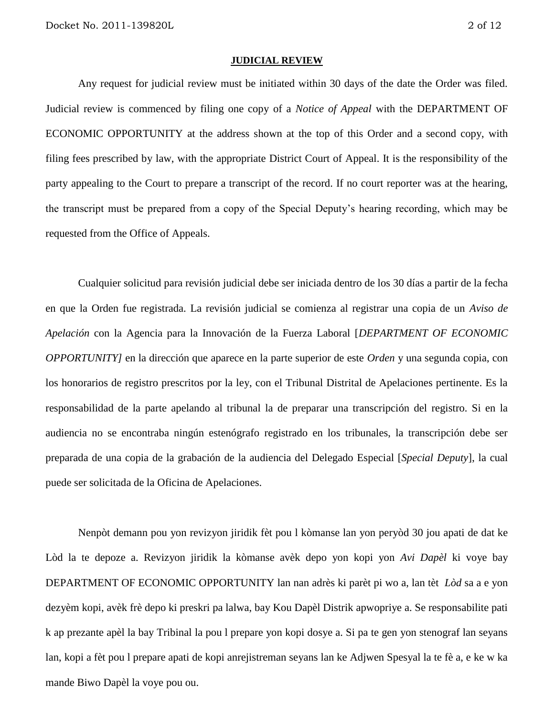#### **JUDICIAL REVIEW**

Any request for judicial review must be initiated within 30 days of the date the Order was filed. Judicial review is commenced by filing one copy of a *Notice of Appeal* with the DEPARTMENT OF ECONOMIC OPPORTUNITY at the address shown at the top of this Order and a second copy, with filing fees prescribed by law, with the appropriate District Court of Appeal. It is the responsibility of the party appealing to the Court to prepare a transcript of the record. If no court reporter was at the hearing, the transcript must be prepared from a copy of the Special Deputy's hearing recording, which may be requested from the Office of Appeals.

Cualquier solicitud para revisión judicial debe ser iniciada dentro de los 30 días a partir de la fecha en que la Orden fue registrada. La revisión judicial se comienza al registrar una copia de un *Aviso de Apelación* con la Agencia para la Innovación de la Fuerza Laboral [*DEPARTMENT OF ECONOMIC OPPORTUNITY]* en la dirección que aparece en la parte superior de este *Orden* y una segunda copia, con los honorarios de registro prescritos por la ley, con el Tribunal Distrital de Apelaciones pertinente. Es la responsabilidad de la parte apelando al tribunal la de preparar una transcripción del registro. Si en la audiencia no se encontraba ningún estenógrafo registrado en los tribunales, la transcripción debe ser preparada de una copia de la grabación de la audiencia del Delegado Especial [*Special Deputy*], la cual puede ser solicitada de la Oficina de Apelaciones.

Nenpòt demann pou yon revizyon jiridik fèt pou l kòmanse lan yon peryòd 30 jou apati de dat ke Lòd la te depoze a. Revizyon jiridik la kòmanse avèk depo yon kopi yon *Avi Dapèl* ki voye bay DEPARTMENT OF ECONOMIC OPPORTUNITY lan nan adrès ki parèt pi wo a, lan tèt *Lòd* sa a e yon dezyèm kopi, avèk frè depo ki preskri pa lalwa, bay Kou Dapèl Distrik apwopriye a. Se responsabilite pati k ap prezante apèl la bay Tribinal la pou l prepare yon kopi dosye a. Si pa te gen yon stenograf lan seyans lan, kopi a fèt pou l prepare apati de kopi anrejistreman seyans lan ke Adjwen Spesyal la te fè a, e ke w ka mande Biwo Dapèl la voye pou ou.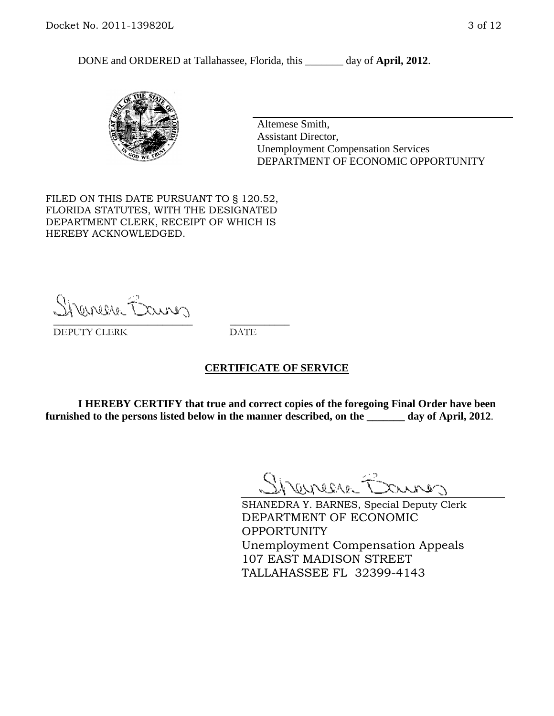DONE and ORDERED at Tallahassee, Florida, this day of **April, 2012**.



Altemese Smith, Assistant Director, Unemployment Compensation Services DEPARTMENT OF ECONOMIC OPPORTUNITY

FILED ON THIS DATE PURSUANT TO § 120.52, FLORIDA STATUTES, WITH THE DESIGNATED DEPARTMENT CLERK, RECEIPT OF WHICH IS HEREBY ACKNOWLEDGED.

Shenesse Baires \_\_\_\_\_\_\_\_\_\_\_\_\_\_\_\_\_\_\_\_\_\_\_\_\_\_\_\_ \_\_\_\_\_\_\_\_\_\_\_\_

DEPUTY CLERK DATE

#### **CERTIFICATE OF SERVICE**

**I HEREBY CERTIFY that true and correct copies of the foregoing Final Order have been furnished to the persons listed below in the manner described, on the \_\_\_\_\_\_\_ day of April, 2012**.

Shaner Barnes

SHANEDRA Y. BARNES, Special Deputy Clerk DEPARTMENT OF ECONOMIC OPPORTUNITY Unemployment Compensation Appeals 107 EAST MADISON STREET TALLAHASSEE FL 32399-4143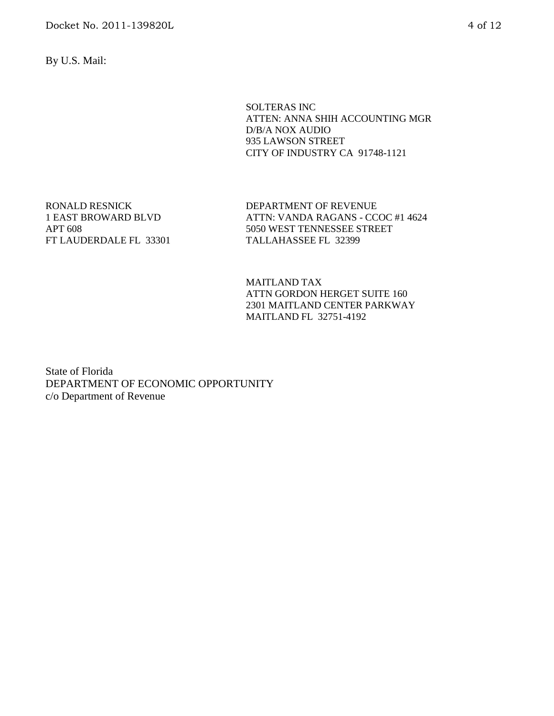By U.S. Mail:

SOLTERAS INC ATTEN: ANNA SHIH ACCOUNTING MGR D/B/A NOX AUDIO 935 LAWSON STREET CITY OF INDUSTRY CA 91748-1121

RONALD RESNICK 1 EAST BROWARD BLVD APT 608 FT LAUDERDALE FL 33301 DEPARTMENT OF REVENUE ATTN: VANDA RAGANS - CCOC #1 4624 5050 WEST TENNESSEE STREET TALLAHASSEE FL 32399

MAITLAND TAX ATTN GORDON HERGET SUITE 160 2301 MAITLAND CENTER PARKWAY MAITLAND FL 32751-4192

State of Florida DEPARTMENT OF ECONOMIC OPPORTUNITY c/o Department of Revenue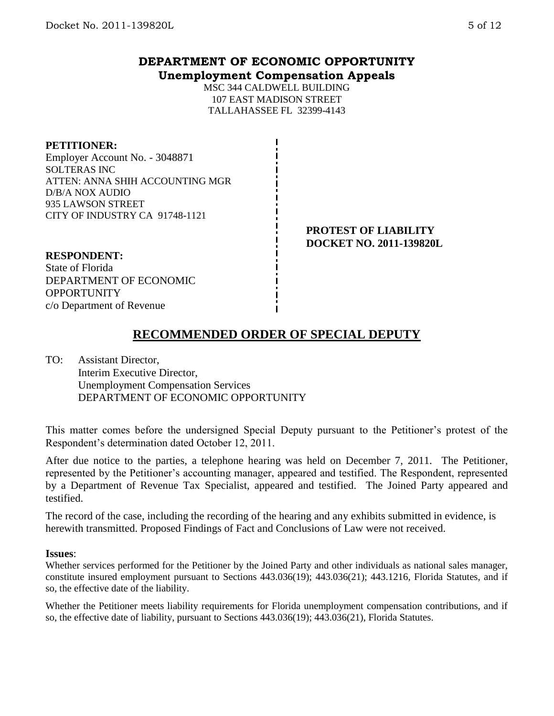# **DEPARTMENT OF ECONOMIC OPPORTUNITY Unemployment Compensation Appeals**

MSC 344 CALDWELL BUILDING 107 EAST MADISON STREET TALLAHASSEE FL 32399-4143

#### **PETITIONER:**

Employer Account No. - 3048871 SOLTERAS INC ATTEN: ANNA SHIH ACCOUNTING MGR D/B/A NOX AUDIO 935 LAWSON STREET CITY OF INDUSTRY CA 91748-1121

#### **PROTEST OF LIABILITY DOCKET NO. 2011-139820L**

## **RESPONDENT:**

State of Florida DEPARTMENT OF ECONOMIC **OPPORTUNITY** c/o Department of Revenue

# **RECOMMENDED ORDER OF SPECIAL DEPUTY**

TO: Assistant Director, Interim Executive Director, Unemployment Compensation Services DEPARTMENT OF ECONOMIC OPPORTUNITY

This matter comes before the undersigned Special Deputy pursuant to the Petitioner's protest of the Respondent's determination dated October 12, 2011.

After due notice to the parties, a telephone hearing was held on December 7, 2011. The Petitioner, represented by the Petitioner's accounting manager, appeared and testified. The Respondent, represented by a Department of Revenue Tax Specialist, appeared and testified. The Joined Party appeared and testified.

The record of the case, including the recording of the hearing and any exhibits submitted in evidence, is herewith transmitted. Proposed Findings of Fact and Conclusions of Law were not received.

#### **Issues**:

Whether services performed for the Petitioner by the Joined Party and other individuals as national sales manager, constitute insured employment pursuant to Sections 443.036(19); 443.036(21); 443.1216, Florida Statutes, and if so, the effective date of the liability.

Whether the Petitioner meets liability requirements for Florida unemployment compensation contributions, and if so, the effective date of liability, pursuant to Sections 443.036(19); 443.036(21), Florida Statutes.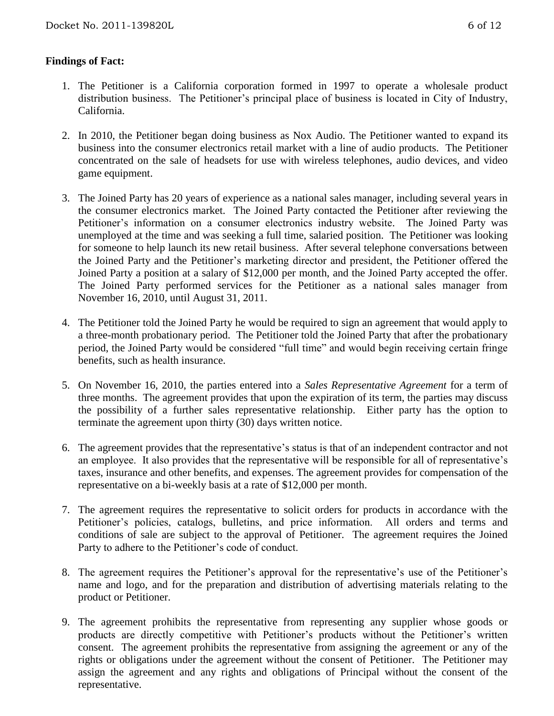## **Findings of Fact:**

- 1. The Petitioner is a California corporation formed in 1997 to operate a wholesale product distribution business. The Petitioner's principal place of business is located in City of Industry, California.
- 2. In 2010, the Petitioner began doing business as Nox Audio. The Petitioner wanted to expand its business into the consumer electronics retail market with a line of audio products. The Petitioner concentrated on the sale of headsets for use with wireless telephones, audio devices, and video game equipment.
- 3. The Joined Party has 20 years of experience as a national sales manager, including several years in the consumer electronics market. The Joined Party contacted the Petitioner after reviewing the Petitioner's information on a consumer electronics industry website. The Joined Party was unemployed at the time and was seeking a full time, salaried position. The Petitioner was looking for someone to help launch its new retail business. After several telephone conversations between the Joined Party and the Petitioner's marketing director and president, the Petitioner offered the Joined Party a position at a salary of \$12,000 per month, and the Joined Party accepted the offer. The Joined Party performed services for the Petitioner as a national sales manager from November 16, 2010, until August 31, 2011.
- 4. The Petitioner told the Joined Party he would be required to sign an agreement that would apply to a three-month probationary period. The Petitioner told the Joined Party that after the probationary period, the Joined Party would be considered "full time" and would begin receiving certain fringe benefits, such as health insurance.
- 5. On November 16, 2010, the parties entered into a *Sales Representative Agreement* for a term of three months. The agreement provides that upon the expiration of its term, the parties may discuss the possibility of a further sales representative relationship. Either party has the option to terminate the agreement upon thirty (30) days written notice.
- 6. The agreement provides that the representative's status is that of an independent contractor and not an employee. It also provides that the representative will be responsible for all of representative's taxes, insurance and other benefits, and expenses. The agreement provides for compensation of the representative on a bi-weekly basis at a rate of \$12,000 per month.
- 7. The agreement requires the representative to solicit orders for products in accordance with the Petitioner's policies, catalogs, bulletins, and price information. All orders and terms and conditions of sale are subject to the approval of Petitioner. The agreement requires the Joined Party to adhere to the Petitioner's code of conduct.
- 8. The agreement requires the Petitioner's approval for the representative's use of the Petitioner's name and logo, and for the preparation and distribution of advertising materials relating to the product or Petitioner.
- 9. The agreement prohibits the representative from representing any supplier whose goods or products are directly competitive with Petitioner's products without the Petitioner's written consent. The agreement prohibits the representative from assigning the agreement or any of the rights or obligations under the agreement without the consent of Petitioner. The Petitioner may assign the agreement and any rights and obligations of Principal without the consent of the representative.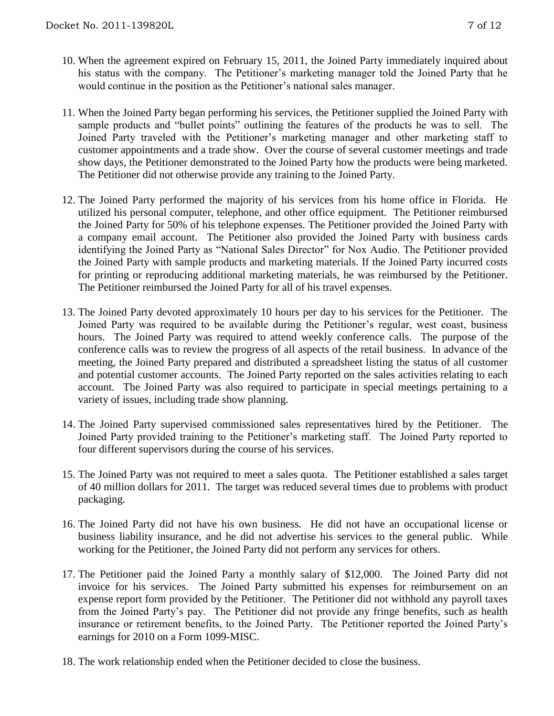- 10. When the agreement expired on February 15, 2011, the Joined Party immediately inquired about his status with the company. The Petitioner's marketing manager told the Joined Party that he would continue in the position as the Petitioner's national sales manager.
- 11. When the Joined Party began performing his services, the Petitioner supplied the Joined Party with sample products and "bullet points" outlining the features of the products he was to sell. The Joined Party traveled with the Petitioner's marketing manager and other marketing staff to customer appointments and a trade show. Over the course of several customer meetings and trade show days, the Petitioner demonstrated to the Joined Party how the products were being marketed. The Petitioner did not otherwise provide any training to the Joined Party.
- 12. The Joined Party performed the majority of his services from his home office in Florida. He utilized his personal computer, telephone, and other office equipment. The Petitioner reimbursed the Joined Party for 50% of his telephone expenses. The Petitioner provided the Joined Party with a company email account. The Petitioner also provided the Joined Party with business cards identifying the Joined Party as "National Sales Director" for Nox Audio. The Petitioner provided the Joined Party with sample products and marketing materials. If the Joined Party incurred costs for printing or reproducing additional marketing materials, he was reimbursed by the Petitioner. The Petitioner reimbursed the Joined Party for all of his travel expenses.
- 13. The Joined Party devoted approximately 10 hours per day to his services for the Petitioner. The Joined Party was required to be available during the Petitioner's regular, west coast, business hours. The Joined Party was required to attend weekly conference calls. The purpose of the conference calls was to review the progress of all aspects of the retail business. In advance of the meeting, the Joined Party prepared and distributed a spreadsheet listing the status of all customer and potential customer accounts. The Joined Party reported on the sales activities relating to each account. The Joined Party was also required to participate in special meetings pertaining to a variety of issues, including trade show planning.
- 14. The Joined Party supervised commissioned sales representatives hired by the Petitioner. The Joined Party provided training to the Petitioner's marketing staff. The Joined Party reported to four different supervisors during the course of his services.
- 15. The Joined Party was not required to meet a sales quota. The Petitioner established a sales target of 40 million dollars for 2011. The target was reduced several times due to problems with product packaging.
- 16. The Joined Party did not have his own business. He did not have an occupational license or business liability insurance, and he did not advertise his services to the general public. While working for the Petitioner, the Joined Party did not perform any services for others.
- 17. The Petitioner paid the Joined Party a monthly salary of \$12,000. The Joined Party did not invoice for his services. The Joined Party submitted his expenses for reimbursement on an expense report form provided by the Petitioner. The Petitioner did not withhold any payroll taxes from the Joined Party's pay. The Petitioner did not provide any fringe benefits, such as health insurance or retirement benefits, to the Joined Party. The Petitioner reported the Joined Party's earnings for 2010 on a Form 1099-MISC.
- 18. The work relationship ended when the Petitioner decided to close the business.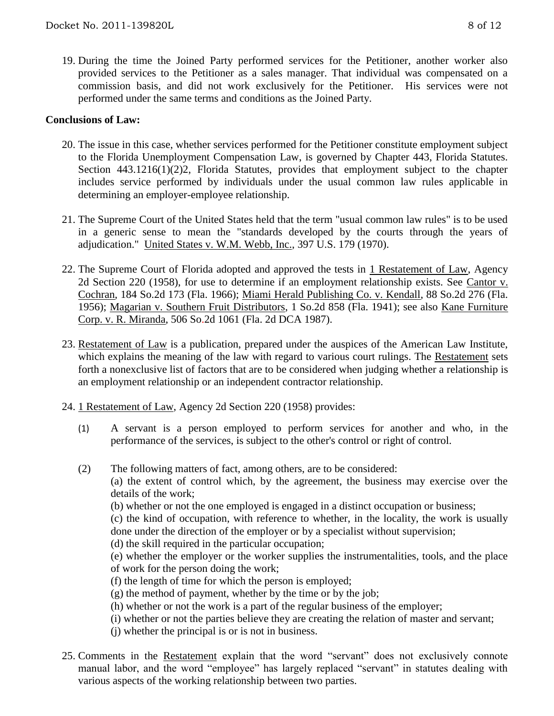19. During the time the Joined Party performed services for the Petitioner, another worker also provided services to the Petitioner as a sales manager. That individual was compensated on a commission basis, and did not work exclusively for the Petitioner. His services were not performed under the same terms and conditions as the Joined Party.

### **Conclusions of Law:**

- 20. The issue in this case, whether services performed for the Petitioner constitute employment subject to the Florida Unemployment Compensation Law, is governed by Chapter 443, Florida Statutes. Section 443.1216(1)(2)2, Florida Statutes, provides that employment subject to the chapter includes service performed by individuals under the usual common law rules applicable in determining an employer-employee relationship.
- 21. The Supreme Court of the United States held that the term "usual common law rules" is to be used in a generic sense to mean the "standards developed by the courts through the years of adjudication." United States v. W.M. Webb, Inc., 397 U.S. 179 (1970).
- 22. The Supreme Court of Florida adopted and approved the tests in 1 Restatement of Law, Agency 2d Section 220 (1958), for use to determine if an employment relationship exists. See Cantor v. Cochran, 184 So.2d 173 (Fla. 1966); Miami Herald Publishing Co. v. Kendall, 88 So.2d 276 (Fla. 1956); Magarian v. Southern Fruit Distributors, 1 So.2d 858 (Fla. 1941); see also Kane Furniture Corp. v. R. Miranda, 506 So.2d 1061 (Fla. 2d DCA 1987).
- 23. Restatement of Law is a publication, prepared under the auspices of the American Law Institute, which explains the meaning of the law with regard to various court rulings. The Restatement sets forth a nonexclusive list of factors that are to be considered when judging whether a relationship is an employment relationship or an independent contractor relationship.
- 24. 1 Restatement of Law, Agency 2d Section 220 (1958) provides:
	- (1) A servant is a person employed to perform services for another and who, in the performance of the services, is subject to the other's control or right of control.
	- (2) The following matters of fact, among others, are to be considered:
		- (a) the extent of control which, by the agreement, the business may exercise over the details of the work;
		- (b) whether or not the one employed is engaged in a distinct occupation or business;

(c) the kind of occupation, with reference to whether, in the locality, the work is usually done under the direction of the employer or by a specialist without supervision;

- (d) the skill required in the particular occupation;
- (e) whether the employer or the worker supplies the instrumentalities, tools, and the place of work for the person doing the work;
- (f) the length of time for which the person is employed;
- $(g)$  the method of payment, whether by the time or by the job;
- (h) whether or not the work is a part of the regular business of the employer;
- (i) whether or not the parties believe they are creating the relation of master and servant;
- (j) whether the principal is or is not in business.
- 25. Comments in the Restatement explain that the word "servant" does not exclusively connote manual labor, and the word "employee" has largely replaced "servant" in statutes dealing with various aspects of the working relationship between two parties.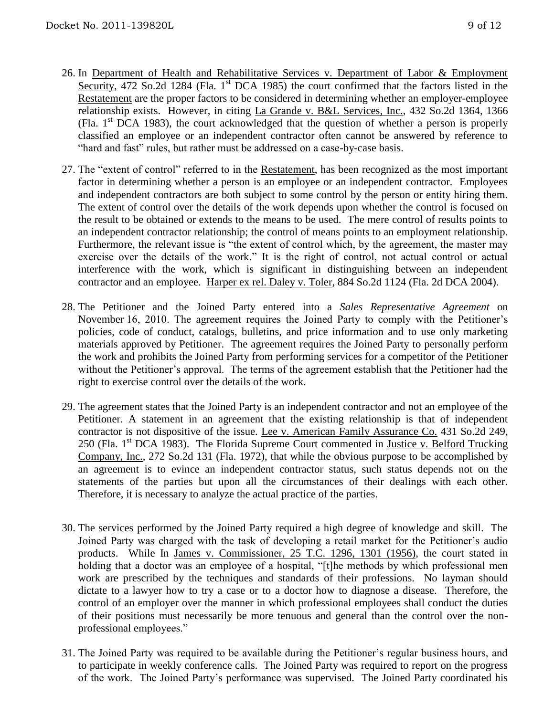- 26. In Department of Health and Rehabilitative Services v. Department of Labor & Employment Security, 472 So.2d 1284 (Fla. 1<sup>st</sup> DCA 1985) the court confirmed that the factors listed in the Restatement are the proper factors to be considered in determining whether an employer-employee relationship exists. However, in citing La Grande v. B&L Services, Inc., 432 So.2d 1364, 1366 (Fla.  $1<sup>st</sup>$  DCA 1983), the court acknowledged that the question of whether a person is properly classified an employee or an independent contractor often cannot be answered by reference to "hard and fast" rules, but rather must be addressed on a case-by-case basis.
- 27. The "extent of control" referred to in the Restatement, has been recognized as the most important factor in determining whether a person is an employee or an independent contractor. Employees and independent contractors are both subject to some control by the person or entity hiring them. The extent of control over the details of the work depends upon whether the control is focused on the result to be obtained or extends to the means to be used. The mere control of results points to an independent contractor relationship; the control of means points to an employment relationship. Furthermore, the relevant issue is "the extent of control which, by the agreement, the master may exercise over the details of the work." It is the right of control, not actual control or actual interference with the work, which is significant in distinguishing between an independent contractor and an employee. Harper ex rel. Daley v. Toler, 884 So.2d 1124 (Fla. 2d DCA 2004).
- 28. The Petitioner and the Joined Party entered into a *Sales Representative Agreement* on November 16, 2010. The agreement requires the Joined Party to comply with the Petitioner's policies, code of conduct, catalogs, bulletins, and price information and to use only marketing materials approved by Petitioner. The agreement requires the Joined Party to personally perform the work and prohibits the Joined Party from performing services for a competitor of the Petitioner without the Petitioner's approval. The terms of the agreement establish that the Petitioner had the right to exercise control over the details of the work.
- 29. The agreement states that the Joined Party is an independent contractor and not an employee of the Petitioner. A statement in an agreement that the existing relationship is that of independent contractor is not dispositive of the issue. Lee v. American Family Assurance Co. 431 So.2d 249, 250 (Fla. 1<sup>st</sup> DCA 1983). The Florida Supreme Court commented in Justice v. Belford Trucking Company, Inc., 272 So.2d 131 (Fla. 1972), that while the obvious purpose to be accomplished by an agreement is to evince an independent contractor status, such status depends not on the statements of the parties but upon all the circumstances of their dealings with each other. Therefore, it is necessary to analyze the actual practice of the parties.
- 30. The services performed by the Joined Party required a high degree of knowledge and skill. The Joined Party was charged with the task of developing a retail market for the Petitioner's audio products. While In James v. Commissioner, 25 T.C. 1296, 1301 (1956), the court stated in holding that a doctor was an employee of a hospital, "[t]he methods by which professional men work are prescribed by the techniques and standards of their professions. No layman should dictate to a lawyer how to try a case or to a doctor how to diagnose a disease. Therefore, the control of an employer over the manner in which professional employees shall conduct the duties of their positions must necessarily be more tenuous and general than the control over the nonprofessional employees."
- 31. The Joined Party was required to be available during the Petitioner's regular business hours, and to participate in weekly conference calls. The Joined Party was required to report on the progress of the work. The Joined Party's performance was supervised. The Joined Party coordinated his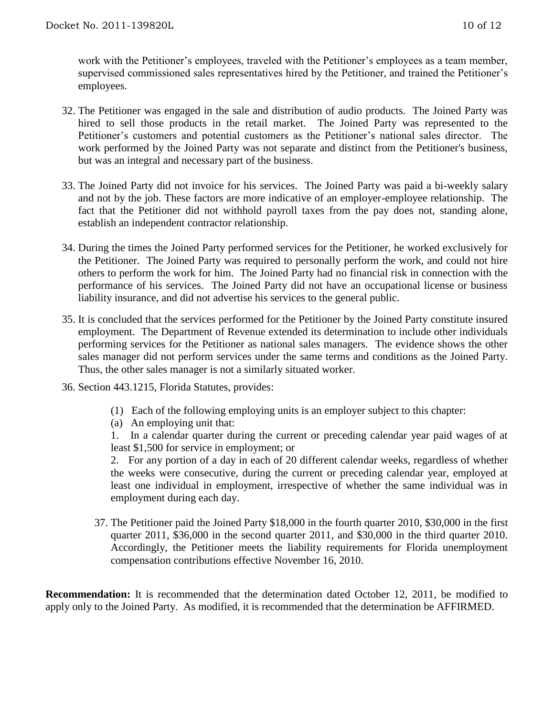work with the Petitioner's employees, traveled with the Petitioner's employees as a team member, supervised commissioned sales representatives hired by the Petitioner, and trained the Petitioner's employees.

- 32. The Petitioner was engaged in the sale and distribution of audio products. The Joined Party was hired to sell those products in the retail market. The Joined Party was represented to the Petitioner's customers and potential customers as the Petitioner's national sales director. The work performed by the Joined Party was not separate and distinct from the Petitioner's business, but was an integral and necessary part of the business.
- 33. The Joined Party did not invoice for his services. The Joined Party was paid a bi-weekly salary and not by the job. These factors are more indicative of an employer-employee relationship. The fact that the Petitioner did not withhold payroll taxes from the pay does not, standing alone, establish an independent contractor relationship.
- 34. During the times the Joined Party performed services for the Petitioner, he worked exclusively for the Petitioner. The Joined Party was required to personally perform the work, and could not hire others to perform the work for him. The Joined Party had no financial risk in connection with the performance of his services. The Joined Party did not have an occupational license or business liability insurance, and did not advertise his services to the general public.
- 35. It is concluded that the services performed for the Petitioner by the Joined Party constitute insured employment. The Department of Revenue extended its determination to include other individuals performing services for the Petitioner as national sales managers. The evidence shows the other sales manager did not perform services under the same terms and conditions as the Joined Party. Thus, the other sales manager is not a similarly situated worker.
- 36. Section 443.1215, Florida Statutes, provides:
	- (1) Each of the following employing units is an employer subject to this chapter:
	- (a) An employing unit that:

1. In a calendar quarter during the current or preceding calendar year paid wages of at least \$1,500 for service in employment; or

2. For any portion of a day in each of 20 different calendar weeks, regardless of whether the weeks were consecutive, during the current or preceding calendar year, employed at least one individual in employment, irrespective of whether the same individual was in employment during each day.

37. The Petitioner paid the Joined Party \$18,000 in the fourth quarter 2010, \$30,000 in the first quarter 2011, \$36,000 in the second quarter 2011, and \$30,000 in the third quarter 2010. Accordingly, the Petitioner meets the liability requirements for Florida unemployment compensation contributions effective November 16, 2010.

**Recommendation:** It is recommended that the determination dated October 12, 2011, be modified to apply only to the Joined Party. As modified, it is recommended that the determination be AFFIRMED.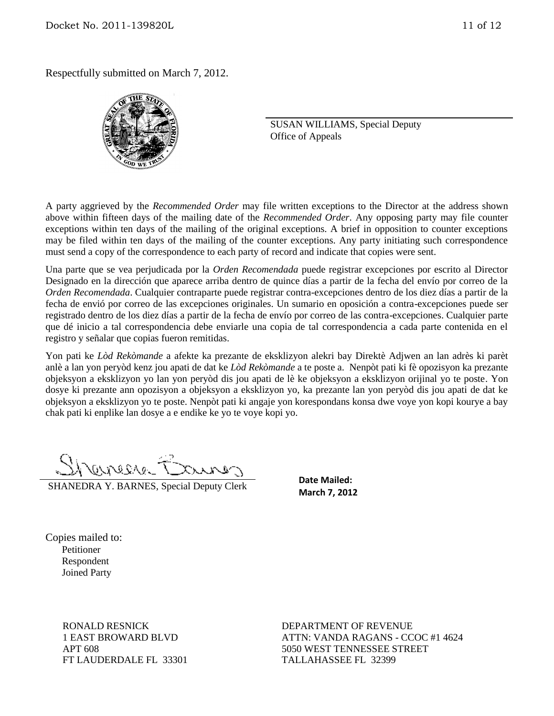Respectfully submitted on March 7, 2012.



SUSAN WILLIAMS, Special Deputy Office of Appeals

A party aggrieved by the *Recommended Order* may file written exceptions to the Director at the address shown above within fifteen days of the mailing date of the *Recommended Order*. Any opposing party may file counter exceptions within ten days of the mailing of the original exceptions. A brief in opposition to counter exceptions may be filed within ten days of the mailing of the counter exceptions. Any party initiating such correspondence must send a copy of the correspondence to each party of record and indicate that copies were sent.

Una parte que se vea perjudicada por la *Orden Recomendada* puede registrar excepciones por escrito al Director Designado en la dirección que aparece arriba dentro de quince días a partir de la fecha del envío por correo de la *Orden Recomendada*. Cualquier contraparte puede registrar contra-excepciones dentro de los diez días a partir de la fecha de envió por correo de las excepciones originales. Un sumario en oposición a contra-excepciones puede ser registrado dentro de los diez días a partir de la fecha de envío por correo de las contra-excepciones. Cualquier parte que dé inicio a tal correspondencia debe enviarle una copia de tal correspondencia a cada parte contenida en el registro y señalar que copias fueron remitidas.

Yon pati ke *Lòd Rekòmande* a afekte ka prezante de eksklizyon alekri bay Direktè Adjwen an lan adrès ki parèt anlè a lan yon peryòd kenz jou apati de dat ke *Lòd Rekòmande* a te poste a. Nenpòt pati ki fè opozisyon ka prezante objeksyon a eksklizyon yo lan yon peryòd dis jou apati de lè ke objeksyon a eksklizyon orijinal yo te poste. Yon dosye ki prezante ann opozisyon a objeksyon a eksklizyon yo, ka prezante lan yon peryòd dis jou apati de dat ke objeksyon a eksklizyon yo te poste. Nenpòt pati ki angaje yon korespondans konsa dwe voye yon kopi kourye a bay chak pati ki enplike lan dosye a e endike ke yo te voye kopi yo.

Shanes Baures

SHANEDRA Y. BARNES, Special Deputy Clerk

**Date Mailed: March 7, 2012**

Copies mailed to: Petitioner Respondent Joined Party

> RONALD RESNICK 1 EAST BROWARD BLVD APT 608 FT LAUDERDALE FL 33301

DEPARTMENT OF REVENUE ATTN: VANDA RAGANS - CCOC #1 4624 5050 WEST TENNESSEE STREET TALLAHASSEE FL 32399